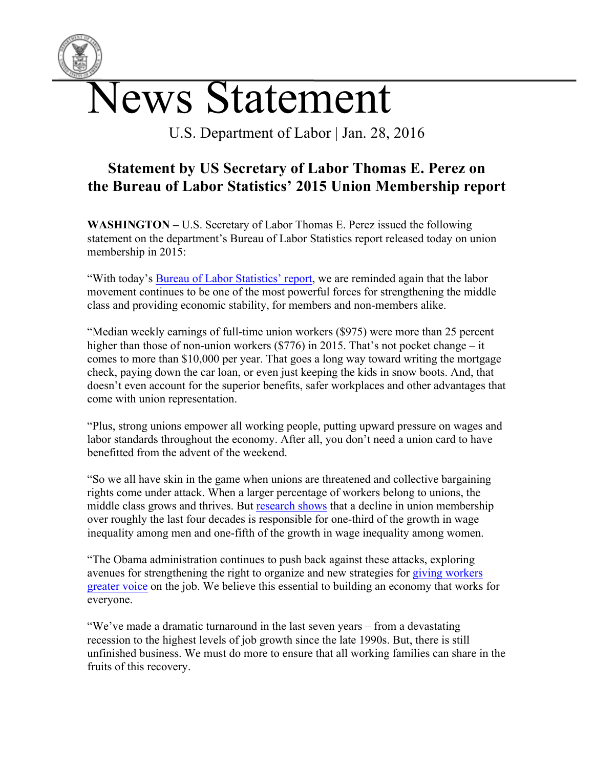

U.S. Department of Labor | Jan. 28, 2016

## **Statement by US Secretary of Labor Thomas E. Perez on the Bureau of Labor Statistics' 2015 Union Membership report**

**WASHINGTON –** U.S. Secretary of Labor Thomas E. Perez issued the following statement on the department's Bureau of Labor Statistics report released today on union membership in 2015:

"With today's Bureau of Labor Statistics' report, we are reminded again that the labor movement continues to be one of the most powerful forces for strengthening the middle class and providing economic stability, for members and non-members alike.

"Median weekly earnings of full-time union workers (\$975) were more than 25 percent higher than those of non-union workers (\$776) in 2015. That's not pocket change – it comes to more than \$10,000 per year. That goes a long way toward writing the mortgage check, paying down the car loan, or even just keeping the kids in snow boots. And, that doesn't even account for the superior benefits, safer workplaces and other advantages that come with union representation.

"Plus, strong unions empower all working people, putting upward pressure on wages and labor standards throughout the economy. After all, you don't need a union card to have benefitted from the advent of the weekend.

"So we all have skin in the game when unions are threatened and collective bargaining rights come under attack. When a larger percentage of workers belong to unions, the middle class grows and thrives. But research shows that a decline in union membership over roughly the last four decades is responsible for one-third of the growth in wage inequality among men and one-fifth of the growth in wage inequality among women.

"The Obama administration continues to push back against these attacks, exploring avenues for strengthening the right to organize and new strategies for giving workers greater voice on the job. We believe this essential to building an economy that works for everyone.

"We've made a dramatic turnaround in the last seven years – from a devastating recession to the highest levels of job growth since the late 1990s. But, there is still unfinished business. We must do more to ensure that all working families can share in the fruits of this recovery.